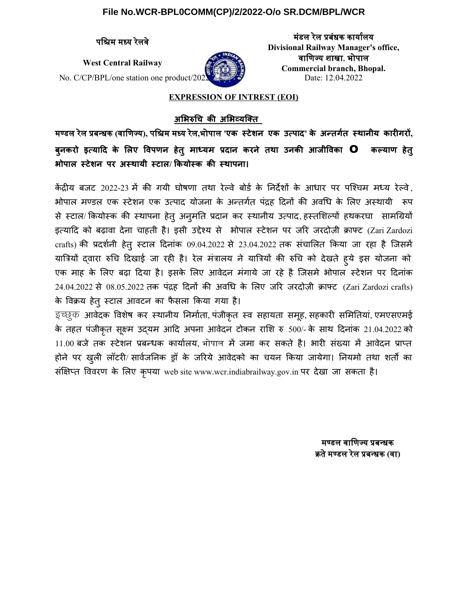## **File No.WCR-BPL0COMM(CP)/2/2022-O/o SR.DCM/BPL/WCR**

No. C/CP/BPL/one station one product/2022 Date: 12.04.2022



पशश्चिम मध्य ि ररलवर ममडल ररल प्मबब बक्य िकरल्य ि **Divisional Railway Manager's office,** West Central Railway *वाणिज्य शाखा*, भोपाल **Commercial branch, Bhopal.**

# **EXPRESSION OF INTREST (EOI)**

**अभभिरुचचि की अभभि्यककक्** 

मण्डल ररल प्न्बब **(**वकशणिज््य ि**),** पशश्चिम मध्य ि ररल**,**भभोपकल **'एक स्ेशन एक उत्पाद' के अन्तर् स्पाननीक कपारीतरो, बुनकरो इतकपााद के भलए वव्पन हे्ु मपाधकम पदपान करने ््पा उनकी आजनीववकपा o कल्कपाप हे्ु भिो्पाल स्ेशन ्र अस्पाकनी स्पाल/ कककोसक की स्पा्नपा** 

केंद्रीय बजट 2022-23 में की गयी घोषणा तथा रेल्वे बोर्ड के निर्देशों के आधार पर पश्चिम मध्य रेल्वे, भोपाल मण्डल एक स्टेशन एक उत्पाद योजना के अन्तर्गत पंद्रह दिनों की अवधि के लिए अस्थायी रूप से स्टाल/ कियोस्क की स्थापना हेत् अनुमति प्रदान कर स्थानीय उत्पाद, हस्तशिल्पों हथकरघा सामग्रियों इत्यादि को बढ़ावा देना चाहती है। इसी उद्देश्य से भोपाल स्टेशन पर जरि जरदोज़ी क्राफ्ट (Zari Zardozi crafts) की प्रदर्शनी हेतु स्टाल दिनांक 09.04.2022 से 23.04.2022 तक संचालित किया जा रहा है जिसमें यात्रियों द्वारा रुचि दिखाई जा रही है। रेल मंत्रालय ने यात्रियों की रुचि को देखते हुये इस योजना को एक माह के लिए बढ़ा दिया है। इसके लिए आवेदन मंगाये जा रहे है जिसमे भोपाल स्टेशन पर दिनांक  $24.04.2022$  से  $08.05.2022$  तक पंद्रह दिनों की अवधि के लिए जरि जरदोज़ी क्राफ्ट (Zari Zardozi crafts) के विक्रय हेतु स्टाल आवटन का फैसला किया गया है।

इच्छुक आवेदक विशेष कर स्थानीय निर्माता, पंजीकृत स्व सहायता समूह, सहकारी समितियां, एमएसएमई के तहत पंजीकृत सूक्ष्म उदयम आदि अपना आवेदन टोकन राशि रु 500/- के साथ दिनांक 21.04.2022 को 11.00 बजे तक स्टेशन प्रबन्धक कार्यालय, भोपाल में जमा कर सकते है। भारी संख्या में आवेदन प्राप्त होने पर खुली लॉटरी/ सार्वजनिक ड्रॉ के जरिये आवेदको का चयन किया जायेगा। नियमो तथा शर्तो का संक्षिप्त विवरण के लिए कृपया web site www.wcr.indiabrailway.gov.in पर देखा जा सकता है।

> मण्डल वाणिज्य प्रबन्धक क्रतरमण्डल ररल प्न्बब **(**वक**)**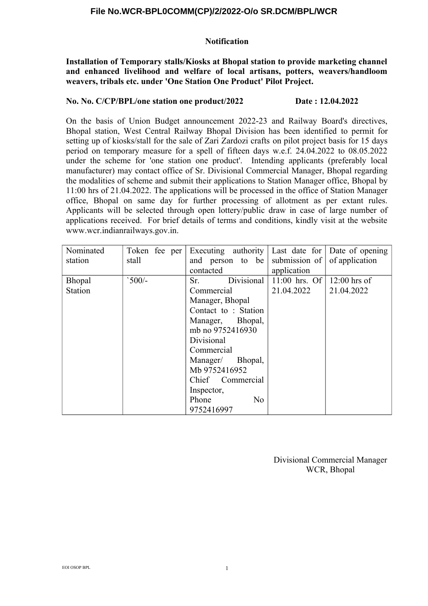# **File No.WCR-BPL0COMM(CP)/2/2022-O/o SR.DCM/BPL/WCR**

## **Notification**

**Installation of Temporary stalls/Kiosks at Bhopal station to provide marketing channel and enhanced livelihood and welfare of local artisans, potters, weavers/handloom weavers, tribals etc. under 'One Station One Product' Pilot Project.**

## **No. No. C/CP/BPL/one station one product/2022 Date : 12.04.2022**

On the basis of Union Budget announcement 2022-23 and Railway Board's directives, Bhopal station, West Central Railway Bhopal Division has been identified to permit for setting up of kiosks/stall for the sale of Zari Zardozi crafts on pilot project basis for 15 days period on temporary measure for a spell of fifteen days w.e.f. 24.04.2022 to 08.05.2022 under the scheme for 'one station one product'. Intending applicants (preferably local manufacturer) may contact office of Sr. Divisional Commercial Manager, Bhopal regarding the modalities of scheme and submit their applications to Station Manager office, Bhopal by 11:00 hrs of 21.04.2022. The applications will be processed in the office of Station Manager office, Bhopal on same day for further processing of allotment as per extant rules. Applicants will be selected through open lottery/public draw in case of large number of applications received. For brief details of terms and conditions, kindly visit at the website www.wcr.indianrailways.gov.in.

| Nominated      | Token fee per | Executing authority Last date for Date of opening |                 |                |
|----------------|---------------|---------------------------------------------------|-----------------|----------------|
| station        | stall         | and person to be                                  | submission of   | of application |
|                |               | contacted                                         | application     |                |
| <b>Bhopal</b>  | $500/-$       | Divisional<br>Sr.                                 | $11:00$ hrs. Of | $12:00$ hrs of |
| <b>Station</b> |               | Commercial                                        | 21.04.2022      | 21.04.2022     |
|                |               | Manager, Bhopal                                   |                 |                |
|                |               | Contact to: Station                               |                 |                |
|                |               | Manager, Bhopal,                                  |                 |                |
|                |               | mb no 9752416930                                  |                 |                |
|                |               | Divisional                                        |                 |                |
|                |               | Commercial                                        |                 |                |
|                |               | Manager/ Bhopal,                                  |                 |                |
|                |               | Mb 9752416952                                     |                 |                |
|                |               | Chief Commercial                                  |                 |                |
|                |               | Inspector,                                        |                 |                |
|                |               | No<br>Phone                                       |                 |                |
|                |               | 9752416997                                        |                 |                |

Divisional Commercial Manager WCR, Bhopal